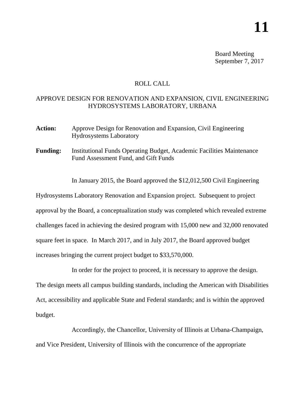Board Meeting September 7, 2017

## ROLL CALL

## APPROVE DESIGN FOR RENOVATION AND EXPANSION, CIVIL ENGINEERING HYDROSYSTEMS LABORATORY, URBANA

- Action: Approve Design for Renovation and Expansion, Civil Engineering Hydrosystems Laboratory
- **Funding:** Institutional Funds Operating Budget, Academic Facilities Maintenance Fund Assessment Fund, and Gift Funds

In January 2015, the Board approved the \$12,012,500 Civil Engineering

Hydrosystems Laboratory Renovation and Expansion project. Subsequent to project approval by the Board, a conceptualization study was completed which revealed extreme challenges faced in achieving the desired program with 15,000 new and 32,000 renovated square feet in space. In March 2017, and in July 2017, the Board approved budget increases bringing the current project budget to \$33,570,000.

In order for the project to proceed, it is necessary to approve the design. The design meets all campus building standards, including the American with Disabilities Act, accessibility and applicable State and Federal standards; and is within the approved budget.

Accordingly, the Chancellor, University of Illinois at Urbana-Champaign, and Vice President, University of Illinois with the concurrence of the appropriate